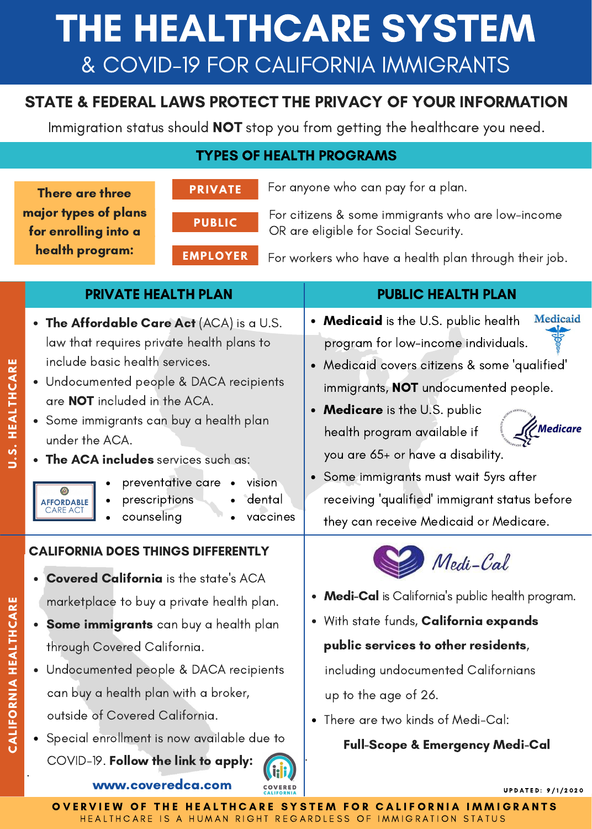# THE HEALTHCARE SYSTEM & COVID-19 FOR CALIFORNIA IMMIGRANTS

## STATE & FEDERAL LAWS PROTECT THE PRIVACY OF YOUR INFORMATION

Immigration status should **NOT** stop you from getting the healthcare you need.

## TYPES OF HEALTH PROGRAMS

|                       | <b>PRIVATE</b><br>There are three<br>major types of plans<br><b>PUBLIC</b><br>for enrolling into a<br>health program:<br><b>EMPLOYER</b>                                                                                                                                                                                                                                                                                                      | For anyone who can pay for a plan.<br>For citizens & some immigrants who are low-income<br>OR are eligible for Social Security.<br>For workers who have a health plan through their job.                                                                                                                                                                                                                                                                   |
|-----------------------|-----------------------------------------------------------------------------------------------------------------------------------------------------------------------------------------------------------------------------------------------------------------------------------------------------------------------------------------------------------------------------------------------------------------------------------------------|------------------------------------------------------------------------------------------------------------------------------------------------------------------------------------------------------------------------------------------------------------------------------------------------------------------------------------------------------------------------------------------------------------------------------------------------------------|
|                       | <b>PRIVATE HEALTH PLAN</b>                                                                                                                                                                                                                                                                                                                                                                                                                    | <b>PUBLIC HEALTH PLAN</b>                                                                                                                                                                                                                                                                                                                                                                                                                                  |
| U.S. HEALTHCARE       | • The Affordable Care Act (ACA) is a U.S.<br>law that requires private health plans to<br>include basic health services.<br>• Undocumented people & DACA recipients<br>are <b>NOT</b> included in the ACA.<br>• Some immigrants can buy a health plan<br>under the ACA.<br>• The ACA includes services such as:<br>preventative care •<br>vision<br>dental<br>prescriptions<br><b>AFFORDABLE</b><br><b>CARE ACT</b><br>counseling<br>vaccines | Medicaid<br>• Medicaid is the U.S. public health<br>program for low-income individuals.<br>· Medicaid covers citizens & some 'qualified'<br>immigrants, <b>NOT</b> undocumented people.<br>• Medicare is the U.S. public<br><sup>2</sup> Medicare<br>health program available if<br>you are 65+ or have a disability.<br>• Some immigrants must wait 5yrs after<br>receiving 'qualified' immigrant status before<br>they can receive Medicaid or Medicare. |
| CALIFORNIA HEALTHCARE | <b>CALIFORNIA DOES THINGS DIFFERENTLY</b><br><b>Covered California</b> is the state's ACA<br>marketplace to buy a private health plan.<br>Some immigrants can buy a health plan<br>through Covered California.<br>• Undocumented people & DACA recipients<br>can buy a health plan with a broker,<br>outside of Covered California.<br>Special enrollment is now available due to<br>COVID-19. Follow the link to apply:                      | Medi-Cal<br>• Medi-Cal is California's public health program.<br>. With state funds, California expands<br>public services to other residents,<br>including undocumented Californians<br>up to the age of 26.<br>• There are two kinds of Medi-Cal:<br><b>Full-Scope &amp; Emergency Medi-Cal</b>                                                                                                                                                          |
|                       | www.coveredca.com                                                                                                                                                                                                                                                                                                                                                                                                                             | <b>UPDATED: 9/1/2020</b>                                                                                                                                                                                                                                                                                                                                                                                                                                   |

HEALTHCARE IS A HUMAN RIGHT REGARDLESS OF IMMIGRATION STATUS OVERVIEW OF THE HEALTHCARE SYSTEM FOR CALIFORNIA IMMIGRANTS